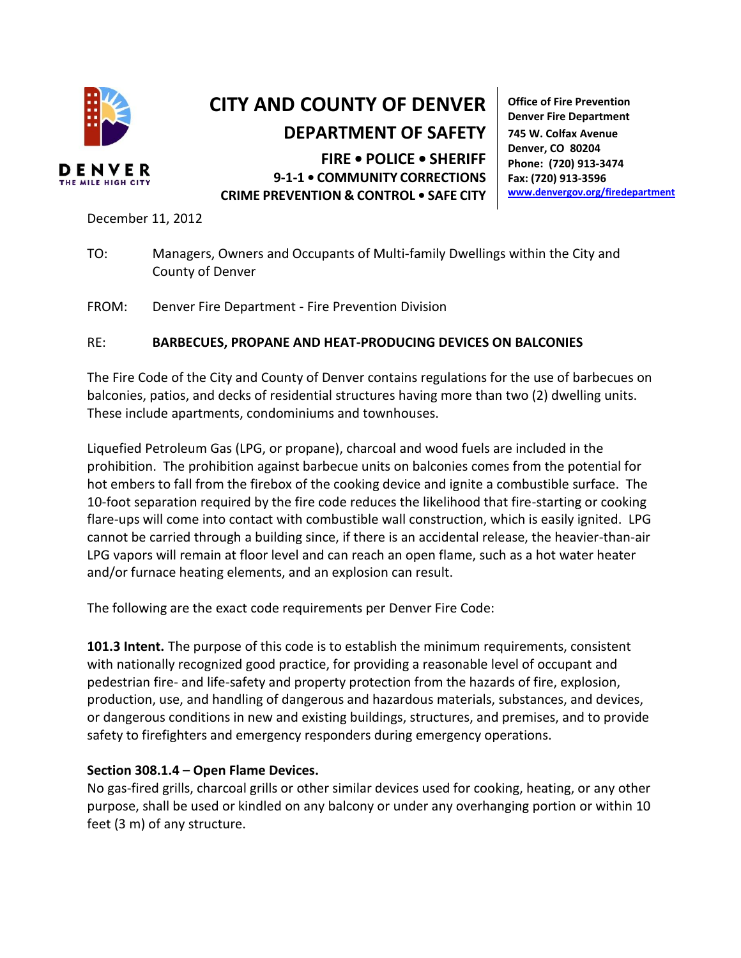

DENVER THE MILE HIGH CIT

## **CITY AND COUNTY OF DENVER DEPARTMENT OF SAFETY**

**FIRE • POLICE • SHERIFF 9-1-1 • COMMUNITY CORRECTIONS CRIME PREVENTION & CONTROL • SAFE CITY**

**Office of Fire Prevention Denver Fire Department 745 W. Colfax Avenue Denver, CO 80204 Phone: (720) 913-3474 Fax: (720) 913-3596 [www.denvergov.org/firedepartment](http://www.denvergov.org/firedepartment)**

December 11, 2012

- TO: Managers, Owners and Occupants of Multi-family Dwellings within the City and County of Denver
- FROM: Denver Fire Department Fire Prevention Division

## RE: **BARBECUES, PROPANE AND HEAT-PRODUCING DEVICES ON BALCONIES**

The Fire Code of the City and County of Denver contains regulations for the use of barbecues on balconies, patios, and decks of residential structures having more than two (2) dwelling units. These include apartments, condominiums and townhouses.

Liquefied Petroleum Gas (LPG, or propane), charcoal and wood fuels are included in the prohibition. The prohibition against barbecue units on balconies comes from the potential for hot embers to fall from the firebox of the cooking device and ignite a combustible surface. The 10-foot separation required by the fire code reduces the likelihood that fire-starting or cooking flare-ups will come into contact with combustible wall construction, which is easily ignited. LPG cannot be carried through a building since, if there is an accidental release, the heavier-than-air LPG vapors will remain at floor level and can reach an open flame, such as a hot water heater and/or furnace heating elements, and an explosion can result.

The following are the exact code requirements per Denver Fire Code:

**101.3 Intent.** The purpose of this code is to establish the minimum requirements, consistent with nationally recognized good practice, for providing a reasonable level of occupant and pedestrian fire- and life-safety and property protection from the hazards of fire, explosion, production, use, and handling of dangerous and hazardous materials, substances, and devices, or dangerous conditions in new and existing buildings, structures, and premises, and to provide safety to firefighters and emergency responders during emergency operations.

## **Section 308.1.4** – **Open Flame Devices.**

No gas-fired grills, charcoal grills or other similar devices used for cooking, heating, or any other purpose, shall be used or kindled on any balcony or under any overhanging portion or within 10 feet (3 m) of any structure.